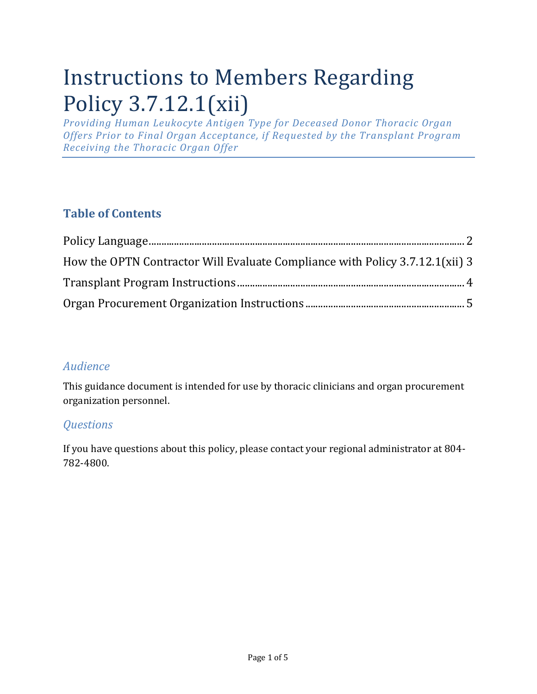# Instructions to Members Regarding Policy 3.7.12.1(xii)

*Providing Human Leukocyte Antigen Type for Deceased Donor Thoracic Organ Offers Prior to Final Organ Acceptance, if Requested by the Transplant Program Receiving the Thoracic Organ Offer*

### **Table of Contents**

| How the OPTN Contractor Will Evaluate Compliance with Policy 3.7.12.1(xii) 3 |  |
|------------------------------------------------------------------------------|--|
|                                                                              |  |
|                                                                              |  |

#### *Audience*

This guidance document is intended for use by thoracic clinicians and organ procurement organization personnel.

#### *Questions*

If you have questions about this policy, please contact your regional administrator at 804- 782-4800.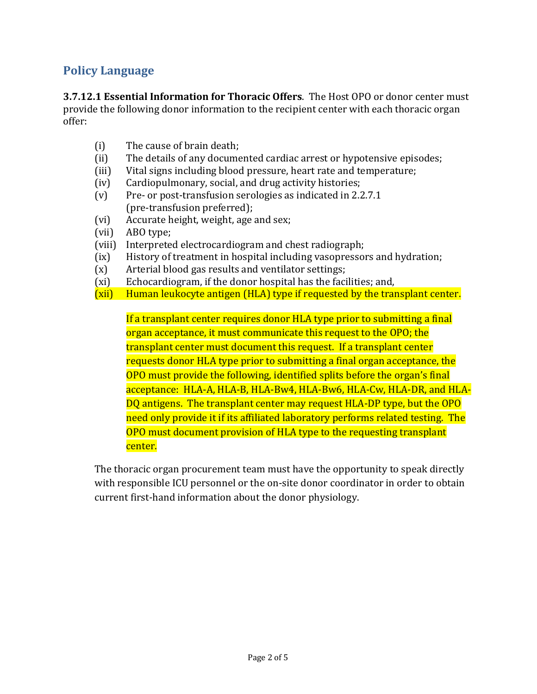#### <span id="page-1-0"></span>**Policy Language**

**3.7.12.1 Essential Information for Thoracic Offers**. The Host OPO or donor center must provide the following donor information to the recipient center with each thoracic organ offer:

- (i) The cause of brain death;
- (ii) The details of any documented cardiac arrest or hypotensive episodes;
- (iii) Vital signs including blood pressure, heart rate and temperature;
- (iv) Cardiopulmonary, social, and drug activity histories;
- (v) Pre- or post-transfusion serologies as indicated in 2.2.7.1 (pre-transfusion preferred);
- (vi) Accurate height, weight, age and sex;
- (vii) ABO type;
- (viii) Interpreted electrocardiogram and chest radiograph;
- (ix) History of treatment in hospital including vasopressors and hydration;
- (x) Arterial blood gas results and ventilator settings;
- (xi) Echocardiogram, if the donor hospital has the facilities; and,
- (xii) Human leukocyte antigen (HLA) type if requested by the transplant center.

If a transplant center requires donor HLA type prior to submitting a final organ acceptance, it must communicate this request to the OPO; the transplant center must document this request. If a transplant center requests donor HLA type prior to submitting a final organ acceptance, the OPO must provide the following, identified splits before the organ's final acceptance: HLA-A, HLA-B, HLA-Bw4, HLA-Bw6, HLA-Cw, HLA-DR, and HLA-DQ antigens. The transplant center may request HLA-DP type, but the OPO need only provide it if its affiliated laboratory performs related testing. The OPO must document provision of HLA type to the requesting transplant center.

The thoracic organ procurement team must have the opportunity to speak directly with responsible ICU personnel or the on-site donor coordinator in order to obtain current first-hand information about the donor physiology.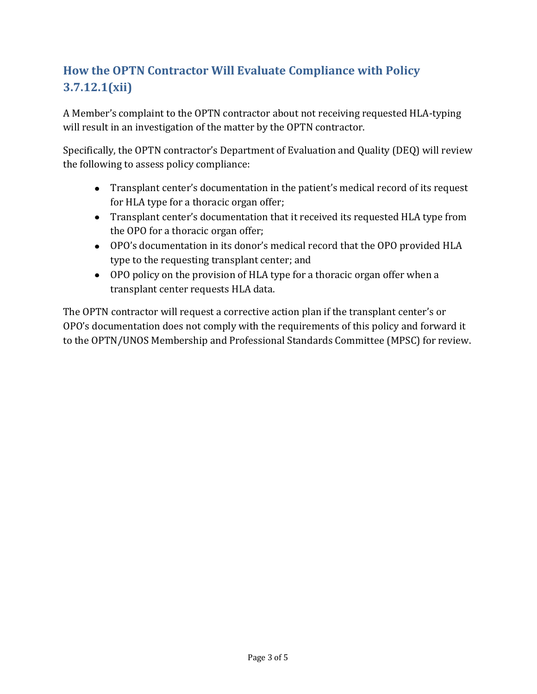## <span id="page-2-0"></span>**How the OPTN Contractor Will Evaluate Compliance with Policy 3.7.12.1(xii)**

A Member's complaint to the OPTN contractor about not receiving requested HLA-typing will result in an investigation of the matter by the OPTN contractor.

Specifically, the OPTN contractor's Department of Evaluation and Quality (DEQ) will review the following to assess policy compliance:

- Transplant center's documentation in the patient's medical record of its request for HLA type for a thoracic organ offer;
- Transplant center's documentation that it received its requested HLA type from the OPO for a thoracic organ offer;
- OPO's documentation in its donor's medical record that the OPO provided HLA type to the requesting transplant center; and
- OPO policy on the provision of HLA type for a thoracic organ offer when a transplant center requests HLA data.

The OPTN contractor will request a corrective action plan if the transplant center's or OPO's documentation does not comply with the requirements of this policy and forward it to the OPTN/UNOS Membership and Professional Standards Committee (MPSC) for review.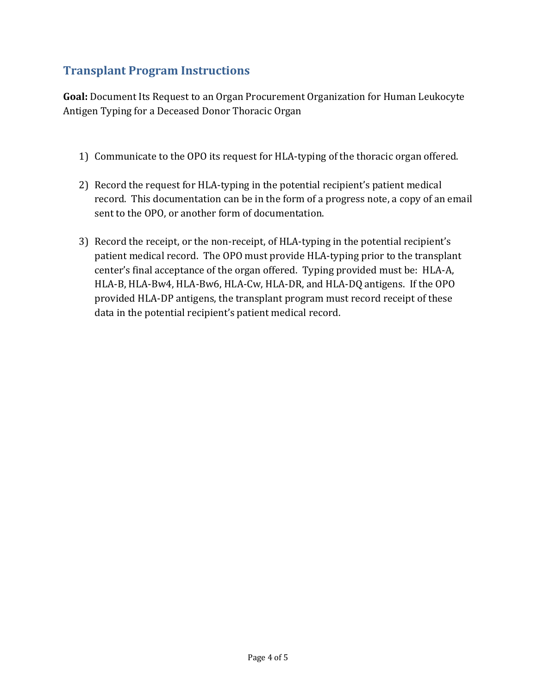#### <span id="page-3-0"></span>**Transplant Program Instructions**

**Goal:** Document Its Request to an Organ Procurement Organization for Human Leukocyte Antigen Typing for a Deceased Donor Thoracic Organ

- 1) Communicate to the OPO its request for HLA-typing of the thoracic organ offered.
- 2) Record the request for HLA-typing in the potential recipient's patient medical record. This documentation can be in the form of a progress note, a copy of an email sent to the OPO, or another form of documentation.
- 3) Record the receipt, or the non-receipt, of HLA-typing in the potential recipient's patient medical record. The OPO must provide HLA-typing prior to the transplant center's final acceptance of the organ offered. Typing provided must be: HLA-A, HLA-B, HLA-Bw4, HLA-Bw6, HLA-Cw, HLA-DR, and HLA-DQ antigens. If the OPO provided HLA-DP antigens, the transplant program must record receipt of these data in the potential recipient's patient medical record.